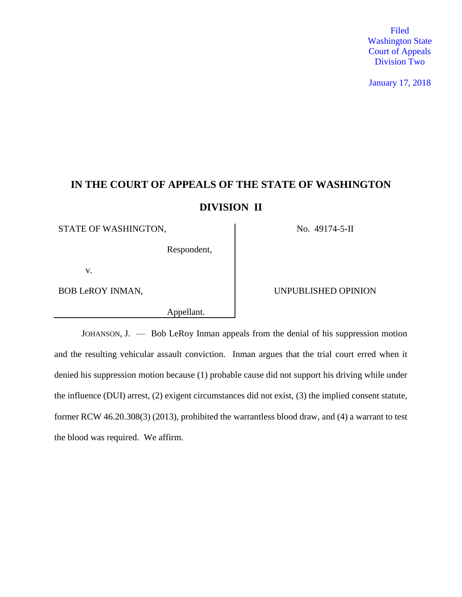Filed Washington State Court of Appeals Division Two

January 17, 2018

# **IN THE COURT OF APPEALS OF THE STATE OF WASHINGTON**

## **DIVISION II**

STATE OF WASHINGTON, No. 49174-5-II

Respondent,

v.

Appellant.

BOB LeROY INMAN, SUNPUBLISHED OPINION

JOHANSON, J. — Bob LeRoy Inman appeals from the denial of his suppression motion and the resulting vehicular assault conviction. Inman argues that the trial court erred when it denied his suppression motion because (1) probable cause did not support his driving while under the influence (DUI) arrest, (2) exigent circumstances did not exist, (3) the implied consent statute, former RCW 46.20.308(3) (2013), prohibited the warrantless blood draw, and (4) a warrant to test the blood was required. We affirm.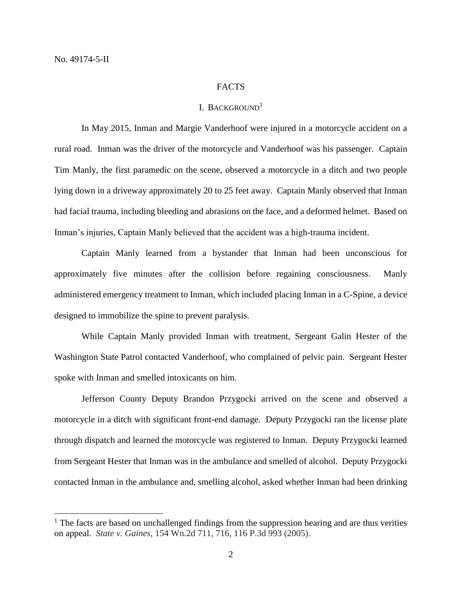$\overline{a}$ 

#### FACTS

### I. BACKGROUND<sup>1</sup>

In May 2015, Inman and Margie Vanderhoof were injured in a motorcycle accident on a rural road. Inman was the driver of the motorcycle and Vanderhoof was his passenger. Captain Tim Manly, the first paramedic on the scene, observed a motorcycle in a ditch and two people lying down in a driveway approximately 20 to 25 feet away. Captain Manly observed that Inman had facial trauma, including bleeding and abrasions on the face, and a deformed helmet. Based on Inman's injuries, Captain Manly believed that the accident was a high-trauma incident.

Captain Manly learned from a bystander that Inman had been unconscious for approximately five minutes after the collision before regaining consciousness. Manly administered emergency treatment to Inman, which included placing Inman in a C-Spine, a device designed to immobilize the spine to prevent paralysis.

While Captain Manly provided Inman with treatment, Sergeant Galin Hester of the Washington State Patrol contacted Vanderhoof, who complained of pelvic pain. Sergeant Hester spoke with Inman and smelled intoxicants on him.

Jefferson County Deputy Brandon Przygocki arrived on the scene and observed a motorcycle in a ditch with significant front-end damage. Deputy Przygocki ran the license plate through dispatch and learned the motorcycle was registered to Inman. Deputy Przygocki learned from Sergeant Hester that Inman was in the ambulance and smelled of alcohol. Deputy Przygocki contacted Inman in the ambulance and, smelling alcohol, asked whether Inman had been drinking

<sup>&</sup>lt;sup>1</sup> The facts are based on unchallenged findings from the suppression hearing and are thus verities on appeal. *State v. Gaines*, 154 Wn.2d 711, 716, 116 P.3d 993 (2005).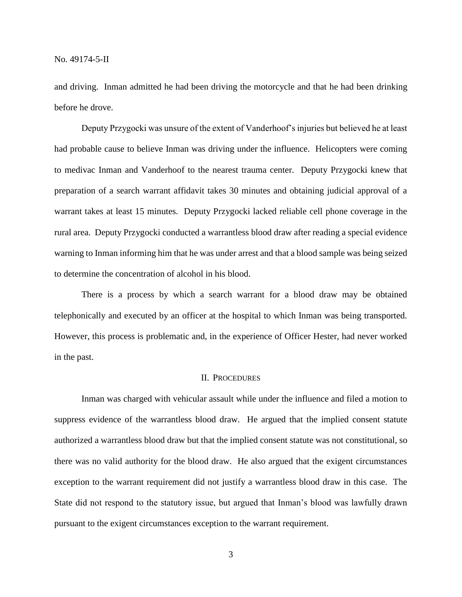and driving. Inman admitted he had been driving the motorcycle and that he had been drinking before he drove.

Deputy Przygocki was unsure of the extent of Vanderhoof's injuries but believed he at least had probable cause to believe Inman was driving under the influence. Helicopters were coming to medivac Inman and Vanderhoof to the nearest trauma center. Deputy Przygocki knew that preparation of a search warrant affidavit takes 30 minutes and obtaining judicial approval of a warrant takes at least 15 minutes. Deputy Przygocki lacked reliable cell phone coverage in the rural area. Deputy Przygocki conducted a warrantless blood draw after reading a special evidence warning to Inman informing him that he was under arrest and that a blood sample was being seized to determine the concentration of alcohol in his blood.

There is a process by which a search warrant for a blood draw may be obtained telephonically and executed by an officer at the hospital to which Inman was being transported. However, this process is problematic and, in the experience of Officer Hester, had never worked in the past.

#### II. PROCEDURES

Inman was charged with vehicular assault while under the influence and filed a motion to suppress evidence of the warrantless blood draw. He argued that the implied consent statute authorized a warrantless blood draw but that the implied consent statute was not constitutional, so there was no valid authority for the blood draw. He also argued that the exigent circumstances exception to the warrant requirement did not justify a warrantless blood draw in this case. The State did not respond to the statutory issue, but argued that Inman's blood was lawfully drawn pursuant to the exigent circumstances exception to the warrant requirement.

3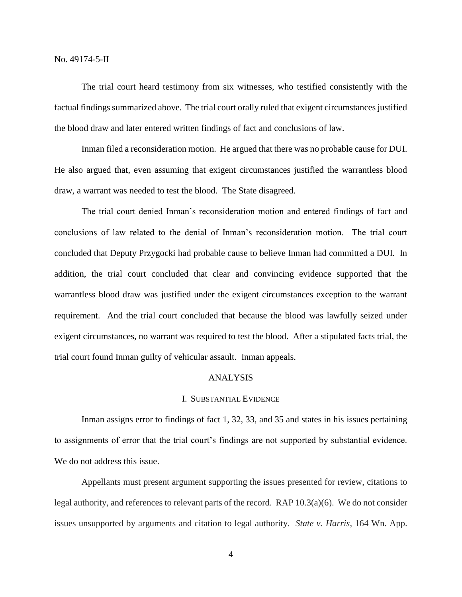No. 49174-5-II

The trial court heard testimony from six witnesses, who testified consistently with the factual findings summarized above. The trial court orally ruled that exigent circumstances justified the blood draw and later entered written findings of fact and conclusions of law.

Inman filed a reconsideration motion. He argued that there was no probable cause for DUI. He also argued that, even assuming that exigent circumstances justified the warrantless blood draw, a warrant was needed to test the blood. The State disagreed.

The trial court denied Inman's reconsideration motion and entered findings of fact and conclusions of law related to the denial of Inman's reconsideration motion. The trial court concluded that Deputy Przygocki had probable cause to believe Inman had committed a DUI. In addition, the trial court concluded that clear and convincing evidence supported that the warrantless blood draw was justified under the exigent circumstances exception to the warrant requirement. And the trial court concluded that because the blood was lawfully seized under exigent circumstances, no warrant was required to test the blood. After a stipulated facts trial, the trial court found Inman guilty of vehicular assault. Inman appeals.

## ANALYSIS

## I. SUBSTANTIAL EVIDENCE

Inman assigns error to findings of fact 1, 32, 33, and 35 and states in his issues pertaining to assignments of error that the trial court's findings are not supported by substantial evidence. We do not address this issue.

Appellants must present argument supporting the issues presented for review, citations to legal authority, and references to relevant parts of the record. RAP 10.3(a)(6). We do not consider issues unsupported by arguments and citation to legal authority. *State v. Harris*, 164 Wn. App.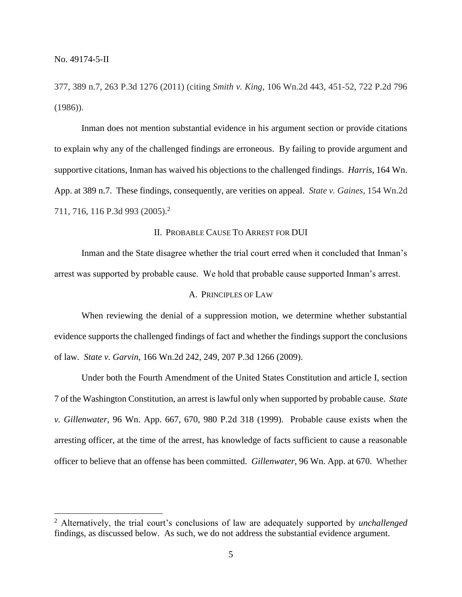$\overline{a}$ 

377, 389 n.7, 263 P.3d 1276 (2011) (citing *Smith v. King*, 106 Wn.2d 443, 451-52, 722 P.2d 796 (1986)).

Inman does not mention substantial evidence in his argument section or provide citations to explain why any of the challenged findings are erroneous. By failing to provide argument and supportive citations, Inman has waived his objections to the challenged findings. *Harris*, 164 Wn. App. at 389 n.7. These findings, consequently, are verities on appeal. *State v. Gaines*, 154 Wn.2d 711, 716, 116 P.3d 993 (2005).<sup>2</sup>

## II. PROBABLE CAUSE TO ARREST FOR DUI

Inman and the State disagree whether the trial court erred when it concluded that Inman's arrest was supported by probable cause. We hold that probable cause supported Inman's arrest.

#### A. PRINCIPLES OF LAW

When reviewing the denial of a suppression motion, we determine whether substantial evidence supports the challenged findings of fact and whether the findings support the conclusions of law. *State v. Garvin*, 166 Wn.2d 242, 249, 207 P.3d 1266 (2009).

Under both the Fourth Amendment of the United States Constitution and article I, section 7 of the Washington Constitution, an arrest is lawful only when supported by probable cause. *State v. Gillenwater*, 96 Wn. App. 667, 670, 980 P.2d 318 (1999). Probable cause exists when the arresting officer, at the time of the arrest, has knowledge of facts sufficient to cause a reasonable officer to believe that an offense has been committed. *Gillenwater*, 96 Wn. App. at 670. Whether

<sup>2</sup> Alternatively, the trial court's conclusions of law are adequately supported by *unchallenged* findings, as discussed below. As such, we do not address the substantial evidence argument.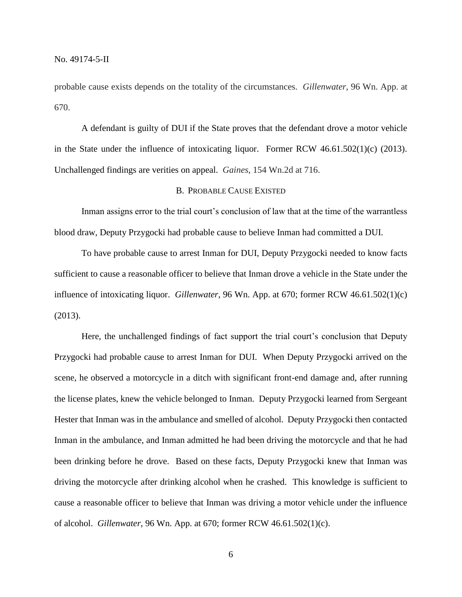probable cause exists depends on the totality of the circumstances. *Gillenwater*, 96 Wn. App. at 670.

A defendant is guilty of DUI if the State proves that the defendant drove a motor vehicle in the State under the influence of intoxicating liquor. Former RCW 46.61.502(1)(c) (2013). Unchallenged findings are verities on appeal. *Gaines*, 154 Wn.2d at 716.

## B. PROBABLE CAUSE EXISTED

Inman assigns error to the trial court's conclusion of law that at the time of the warrantless blood draw, Deputy Przygocki had probable cause to believe Inman had committed a DUI.

To have probable cause to arrest Inman for DUI, Deputy Przygocki needed to know facts sufficient to cause a reasonable officer to believe that Inman drove a vehicle in the State under the influence of intoxicating liquor. *Gillenwater*, 96 Wn. App. at 670; former RCW 46.61.502(1)(c) (2013).

Here, the unchallenged findings of fact support the trial court's conclusion that Deputy Przygocki had probable cause to arrest Inman for DUI. When Deputy Przygocki arrived on the scene, he observed a motorcycle in a ditch with significant front-end damage and, after running the license plates, knew the vehicle belonged to Inman. Deputy Przygocki learned from Sergeant Hester that Inman was in the ambulance and smelled of alcohol. Deputy Przygocki then contacted Inman in the ambulance, and Inman admitted he had been driving the motorcycle and that he had been drinking before he drove. Based on these facts, Deputy Przygocki knew that Inman was driving the motorcycle after drinking alcohol when he crashed. This knowledge is sufficient to cause a reasonable officer to believe that Inman was driving a motor vehicle under the influence of alcohol. *Gillenwater*, 96 Wn. App. at 670; former RCW 46.61.502(1)(c).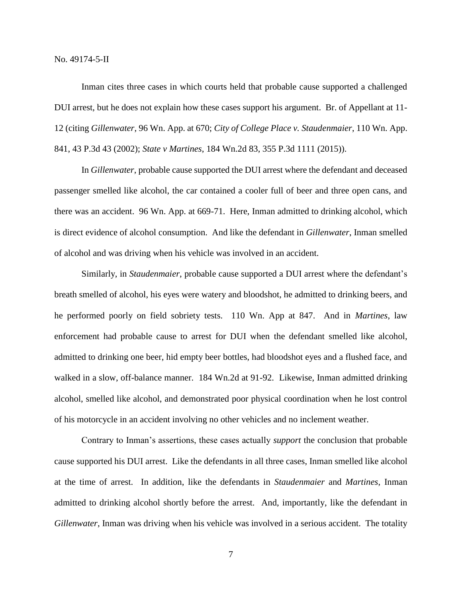No. 49174-5-II

Inman cites three cases in which courts held that probable cause supported a challenged DUI arrest, but he does not explain how these cases support his argument. Br. of Appellant at 11- 12 (citing *Gillenwater*, 96 Wn. App. at 670; *City of College Place v. Staudenmaier*, 110 Wn. App. 841, 43 P.3d 43 (2002); *State v Martines*, 184 Wn.2d 83, 355 P.3d 1111 (2015)).

In *Gillenwater*, probable cause supported the DUI arrest where the defendant and deceased passenger smelled like alcohol, the car contained a cooler full of beer and three open cans, and there was an accident. 96 Wn. App. at 669-71. Here, Inman admitted to drinking alcohol, which is direct evidence of alcohol consumption. And like the defendant in *Gillenwater*, Inman smelled of alcohol and was driving when his vehicle was involved in an accident.

Similarly, in *Staudenmaier*, probable cause supported a DUI arrest where the defendant's breath smelled of alcohol, his eyes were watery and bloodshot, he admitted to drinking beers, and he performed poorly on field sobriety tests. 110 Wn. App at 847. And in *Martines*, law enforcement had probable cause to arrest for DUI when the defendant smelled like alcohol, admitted to drinking one beer, hid empty beer bottles, had bloodshot eyes and a flushed face, and walked in a slow, off-balance manner. 184 Wn.2d at 91-92. Likewise, Inman admitted drinking alcohol, smelled like alcohol, and demonstrated poor physical coordination when he lost control of his motorcycle in an accident involving no other vehicles and no inclement weather.

Contrary to Inman's assertions, these cases actually *support* the conclusion that probable cause supported his DUI arrest. Like the defendants in all three cases, Inman smelled like alcohol at the time of arrest. In addition, like the defendants in *Staudenmaier* and *Martines*, Inman admitted to drinking alcohol shortly before the arrest. And, importantly, like the defendant in *Gillenwater*, Inman was driving when his vehicle was involved in a serious accident. The totality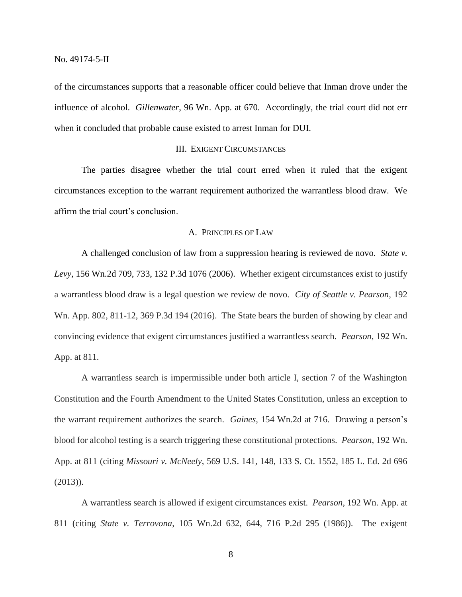of the circumstances supports that a reasonable officer could believe that Inman drove under the influence of alcohol. *Gillenwater*, 96 Wn. App. at 670. Accordingly, the trial court did not err when it concluded that probable cause existed to arrest Inman for DUI.

#### III. EXIGENT CIRCUMSTANCES

The parties disagree whether the trial court erred when it ruled that the exigent circumstances exception to the warrant requirement authorized the warrantless blood draw. We affirm the trial court's conclusion.

## A. PRINCIPLES OF LAW

A challenged conclusion of law from a suppression hearing is reviewed de novo. *State v. Levy*, 156 Wn.2d 709, 733, 132 P.3d 1076 (2006). Whether exigent circumstances exist to justify a warrantless blood draw is a legal question we review de novo. *City of Seattle v. Pearson*, 192 Wn. App. 802, 811-12, 369 P.3d 194 (2016). The State bears the burden of showing by clear and convincing evidence that exigent circumstances justified a warrantless search. *Pearson*, 192 Wn. App. at 811.

A warrantless search is impermissible under both article I, section 7 of the Washington Constitution and the Fourth Amendment to the United States Constitution, unless an exception to the warrant requirement authorizes the search. *Gaines*, 154 Wn.2d at 716. Drawing a person's blood for alcohol testing is a search triggering these constitutional protections. *Pearson*, 192 Wn. App. at 811 (citing *Missouri v. McNeely*, 569 U.S. 141, 148, 133 S. Ct. 1552, 185 L. Ed. 2d 696 (2013)).

A warrantless search is allowed if exigent circumstances exist. *Pearson*, 192 Wn. App. at 811 (citing *State v. Terrovona*, 105 Wn.2d 632, 644, 716 P.2d 295 (1986)). The exigent

8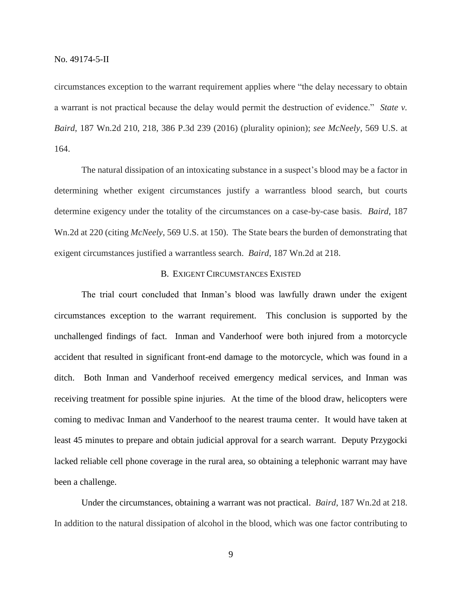circumstances exception to the warrant requirement applies where "the delay necessary to obtain a warrant is not practical because the delay would permit the destruction of evidence." *State v. Baird*, 187 Wn.2d 210, 218, 386 P.3d 239 (2016) (plurality opinion); *see McNeely*, 569 U.S. at 164.

The natural dissipation of an intoxicating substance in a suspect's blood may be a factor in determining whether exigent circumstances justify a warrantless blood search, but courts determine exigency under the totality of the circumstances on a case-by-case basis. *Baird*, 187 Wn.2d at 220 (citing *McNeely*, 569 U.S. at 150). The State bears the burden of demonstrating that exigent circumstances justified a warrantless search. *Baird*, 187 Wn.2d at 218.

## B. EXIGENT CIRCUMSTANCES EXISTED

The trial court concluded that Inman's blood was lawfully drawn under the exigent circumstances exception to the warrant requirement. This conclusion is supported by the unchallenged findings of fact. Inman and Vanderhoof were both injured from a motorcycle accident that resulted in significant front-end damage to the motorcycle, which was found in a ditch. Both Inman and Vanderhoof received emergency medical services, and Inman was receiving treatment for possible spine injuries. At the time of the blood draw, helicopters were coming to medivac Inman and Vanderhoof to the nearest trauma center. It would have taken at least 45 minutes to prepare and obtain judicial approval for a search warrant. Deputy Przygocki lacked reliable cell phone coverage in the rural area, so obtaining a telephonic warrant may have been a challenge.

Under the circumstances, obtaining a warrant was not practical. *Baird*, 187 Wn.2d at 218. In addition to the natural dissipation of alcohol in the blood, which was one factor contributing to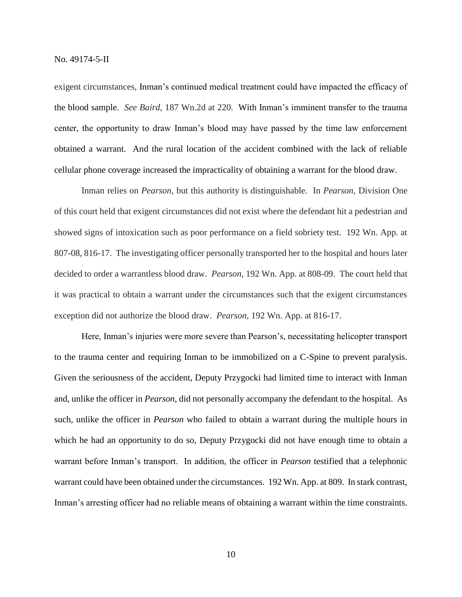exigent circumstances, Inman's continued medical treatment could have impacted the efficacy of the blood sample. *See Baird*, 187 Wn.2d at 220. With Inman's imminent transfer to the trauma center, the opportunity to draw Inman's blood may have passed by the time law enforcement obtained a warrant. And the rural location of the accident combined with the lack of reliable cellular phone coverage increased the impracticality of obtaining a warrant for the blood draw.

Inman relies on *Pearson*, but this authority is distinguishable. In *Pearson*, Division One of this court held that exigent circumstances did not exist where the defendant hit a pedestrian and showed signs of intoxication such as poor performance on a field sobriety test. 192 Wn. App. at 807-08, 816-17. The investigating officer personally transported her to the hospital and hours later decided to order a warrantless blood draw. *Pearson*, 192 Wn. App. at 808-09. The court held that it was practical to obtain a warrant under the circumstances such that the exigent circumstances exception did not authorize the blood draw. *Pearson*, 192 Wn. App. at 816-17.

Here, Inman's injuries were more severe than Pearson's, necessitating helicopter transport to the trauma center and requiring Inman to be immobilized on a C-Spine to prevent paralysis. Given the seriousness of the accident, Deputy Przygocki had limited time to interact with Inman and, unlike the officer in *Pearson*, did not personally accompany the defendant to the hospital. As such, unlike the officer in *Pearson* who failed to obtain a warrant during the multiple hours in which he had an opportunity to do so, Deputy Przygocki did not have enough time to obtain a warrant before Inman's transport. In addition, the officer in *Pearson* testified that a telephonic warrant could have been obtained under the circumstances. 192 Wn. App. at 809. In stark contrast, Inman's arresting officer had no reliable means of obtaining a warrant within the time constraints.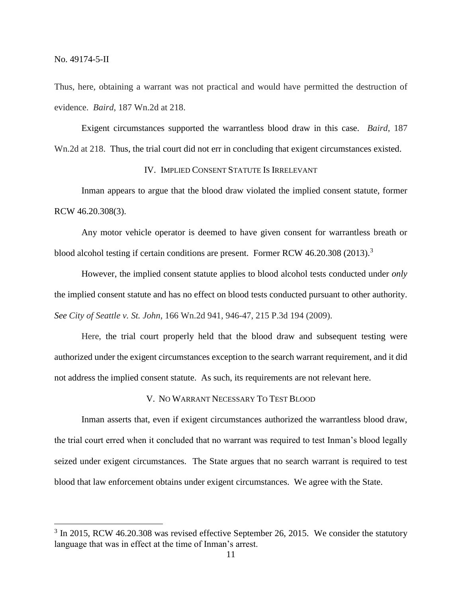$\overline{a}$ 

Thus, here, obtaining a warrant was not practical and would have permitted the destruction of evidence. *Baird*, 187 Wn.2d at 218.

Exigent circumstances supported the warrantless blood draw in this case. *Baird*, 187 Wn.2d at 218. Thus, the trial court did not err in concluding that exigent circumstances existed.

## IV. IMPLIED CONSENT STATUTE IS IRRELEVANT

Inman appears to argue that the blood draw violated the implied consent statute, former RCW 46.20.308(3).

Any motor vehicle operator is deemed to have given consent for warrantless breath or blood alcohol testing if certain conditions are present. Former RCW 46.20.308 (2013).<sup>3</sup>

However, the implied consent statute applies to blood alcohol tests conducted under *only* the implied consent statute and has no effect on blood tests conducted pursuant to other authority. *See City of Seattle v. St. John*, 166 Wn.2d 941, 946-47, 215 P.3d 194 (2009).

Here, the trial court properly held that the blood draw and subsequent testing were authorized under the exigent circumstances exception to the search warrant requirement, and it did not address the implied consent statute. As such, its requirements are not relevant here.

V. NO WARRANT NECESSARY TO TEST BLOOD

Inman asserts that, even if exigent circumstances authorized the warrantless blood draw, the trial court erred when it concluded that no warrant was required to test Inman's blood legally seized under exigent circumstances. The State argues that no search warrant is required to test blood that law enforcement obtains under exigent circumstances. We agree with the State.

 $3$  In 2015, RCW 46.20.308 was revised effective September 26, 2015. We consider the statutory language that was in effect at the time of Inman's arrest.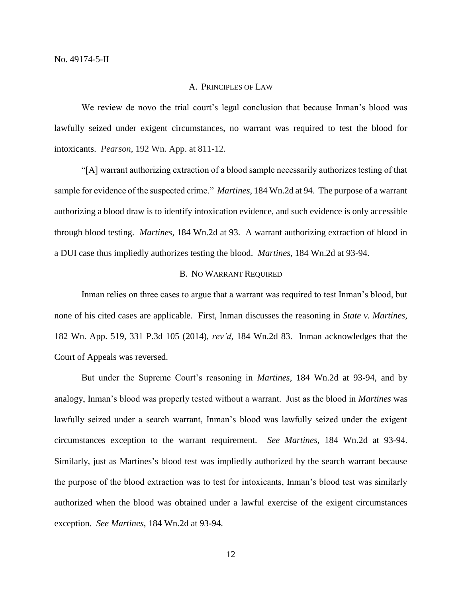#### A. PRINCIPLES OF LAW

We review de novo the trial court's legal conclusion that because Inman's blood was lawfully seized under exigent circumstances, no warrant was required to test the blood for intoxicants. *Pearson*, 192 Wn. App. at 811-12.

"[A] warrant authorizing extraction of a blood sample necessarily authorizes testing of that sample for evidence of the suspected crime." *Martines*, 184 Wn.2d at 94. The purpose of a warrant authorizing a blood draw is to identify intoxication evidence, and such evidence is only accessible through blood testing. *Martines*, 184 Wn.2d at 93. A warrant authorizing extraction of blood in a DUI case thus impliedly authorizes testing the blood. *Martines*, 184 Wn.2d at 93-94.

### B. NO WARRANT REQUIRED

Inman relies on three cases to argue that a warrant was required to test Inman's blood, but none of his cited cases are applicable. First, Inman discusses the reasoning in *State v. Martines*, 182 Wn. App. 519, 331 P.3d 105 (2014), *rev'd*, 184 Wn.2d 83. Inman acknowledges that the Court of Appeals was reversed.

But under the Supreme Court's reasoning in *Martines,* 184 Wn.2d at 93-94, and by analogy, Inman's blood was properly tested without a warrant. Just as the blood in *Martines* was lawfully seized under a search warrant, Inman's blood was lawfully seized under the exigent circumstances exception to the warrant requirement. *See Martines*, 184 Wn.2d at 93-94. Similarly, just as Martines's blood test was impliedly authorized by the search warrant because the purpose of the blood extraction was to test for intoxicants, Inman's blood test was similarly authorized when the blood was obtained under a lawful exercise of the exigent circumstances exception. *See Martines*, 184 Wn.2d at 93-94.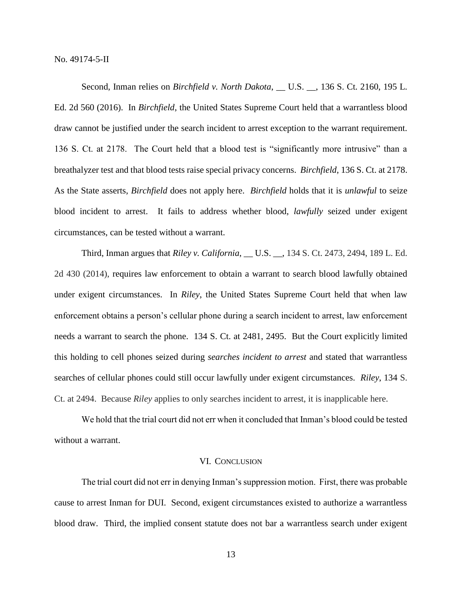No. 49174-5-II

Second, Inman relies on *Birchfield v. North Dakota*, \_\_ U.S. \_\_, 136 S. Ct. 2160, 195 L. Ed. 2d 560 (2016). In *Birchfield*, the United States Supreme Court held that a warrantless blood draw cannot be justified under the search incident to arrest exception to the warrant requirement. 136 S. Ct. at 2178. The Court held that a blood test is "significantly more intrusive" than a breathalyzer test and that blood tests raise special privacy concerns. *Birchfield*, 136 S. Ct. at 2178. As the State asserts, *Birchfield* does not apply here. *Birchfield* holds that it is *unlawful* to seize blood incident to arrest. It fails to address whether blood, *lawfully* seized under exigent circumstances, can be tested without a warrant.

Third, Inman argues that *Riley v. California*, \_\_ U.S. \_\_, 134 S. Ct. 2473, 2494, 189 L. Ed. 2d 430 (2014), requires law enforcement to obtain a warrant to search blood lawfully obtained under exigent circumstances. In *Riley*, the United States Supreme Court held that when law enforcement obtains a person's cellular phone during a search incident to arrest, law enforcement needs a warrant to search the phone. 134 S. Ct. at 2481, 2495. But the Court explicitly limited this holding to cell phones seized during *searches incident to arrest* and stated that warrantless searches of cellular phones could still occur lawfully under exigent circumstances. *Riley*, 134 S. Ct. at 2494. Because *Riley* applies to only searches incident to arrest, it is inapplicable here.

We hold that the trial court did not err when it concluded that Inman's blood could be tested without a warrant.

#### VI. CONCLUSION

The trial court did not err in denying Inman's suppression motion. First, there was probable cause to arrest Inman for DUI. Second, exigent circumstances existed to authorize a warrantless blood draw. Third, the implied consent statute does not bar a warrantless search under exigent